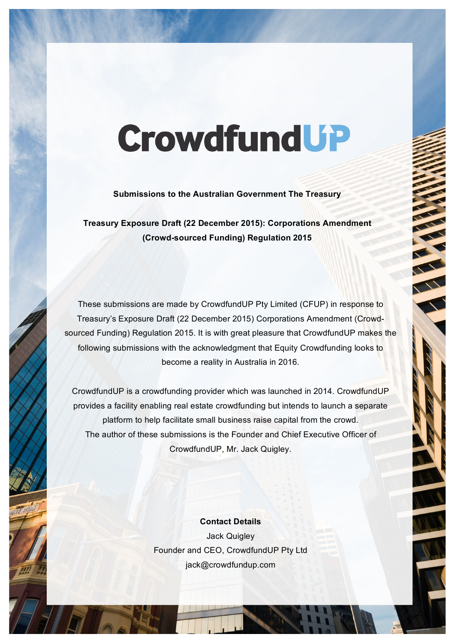# **CrowdfundUP**

 **Submissions to the Australian Government The Treasury**

 **(Crowd-sourced Funding) Regulation 2015 Treasury Exposure Draft (22 December 2015): Corporations Amendment**

 These submissions are made by CrowdfundUP Pty Limited (CFUP) in response to sourced Funding) Regulation 2015. It is with great pleasure that CrowdfundUP makes the following submissions with the acknowledgment that Equity Crowdfunding looks to become a reality in Australia in 2016. Treasury's Exposure Draft (22 December 2015) Corporations Amendment (Crowd-

 provides a facility enabling real estate crowdfunding but intends to launch a separate platform to help facilitate small business raise capital from the crowd. The author of these submissions is the Founder and Chief Executive Officer of CrowdfundUP is a crowdfunding provider which was launched in 2014. CrowdfundUP CrowdfundUP, Mr. Jack Quigley.

> Founder and CEO, CrowdfundUP Pty Ltd **Contact Details** Jack Quigley jack@crowdfundup.com

company of the company of the company of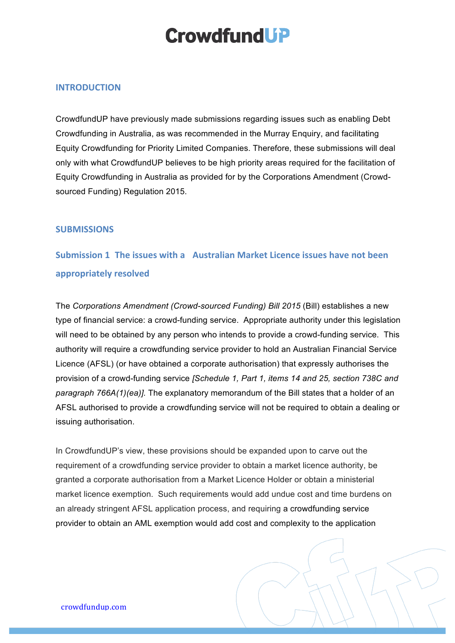## **Crowdfund UP**

#### **INTRODUCTION**

 CrowdfundUP have previously made submissions regarding issues such as enabling Debt Crowdfunding in Australia, as was recommended in the Murray Enquiry, and facilitating Equity Crowdfunding for Priority Limited Companies. Therefore, these submissions will deal only with what CrowdfundUP believes to be high priority areas required for the facilitation of Equity Crowdfunding in Australia as provided for by the Corporations Amendment (Crowd-sourced Funding) Regulation 2015.

#### **SUBMISSIONS**

### **Submission 1 The issues with a Australian Market Licence issues have not been appropriately resolved**

 The *Corporations Amendment (Crowd-sourced Funding) Bill 2015* (Bill) establishes a new type of financial service: a crowd-funding service. Appropriate authority under this legislation will need to be obtained by any person who intends to provide a crowd-funding service. This authority will require a crowdfunding service provider to hold an Australian Financial Service Licence (AFSL) (or have obtained a corporate authorisation) that expressly authorises the *paragraph 766A(1)(ea)].* The explanatory memorandum of the Bill states that a holder of an AFSL authorised to provide a crowdfunding service will not be required to obtain a dealing or provision of a crowd-funding service *[Schedule 1, Part 1, items 14 and 25, section 738C and* issuing authorisation.

 requirement of a crowdfunding service provider to obtain a market licence authority, be granted a corporate authorisation from a Market Licence Holder or obtain a ministerial market licence exemption. Such requirements would add undue cost and time burdens on an already stringent AFSL application process, and requiring a crowdfunding service provider to obtain an AML exemption would add cost and complexity to the application In CrowdfundUP's view, these provisions should be expanded upon to carve out the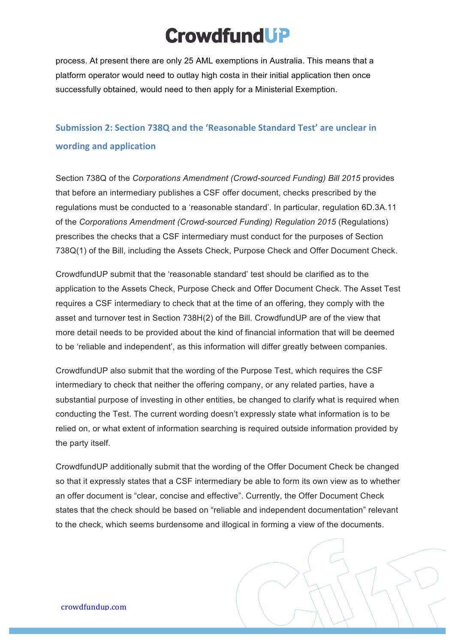# **CrowdfundUP**

 process. At present there are only 25 AML exemptions in Australia. This means that a platform operator would need to outlay high costa in their initial application then once successfully obtained, would need to then apply for a Ministerial Exemption.

### **Submission 2: Section 738Q and the 'Reasonable Standard Test' are unclear in wording and application**

 Section 738Q of the *Corporations Amendment (Crowd-sourced Funding) Bill 2015* provides that before an intermediary publishes a CSF offer document, checks prescribed by the regulations must be conducted to a 'reasonable standard'. In particular, regulation 6D.3A.11  of the *Corporations Amendment (Crowd-sourced Funding) Regulation 2015* (Regulations) prescribes the checks that a CSF intermediary must conduct for the purposes of Section 738Q(1) of the Bill, including the Assets Check, Purpose Check and Offer Document Check.

 CrowdfundUP submit that the 'reasonable standard' test should be clarified as to the application to the Assets Check, Purpose Check and Offer Document Check. The Asset Test requires a CSF intermediary to check that at the time of an offering, they comply with the asset and turnover test in Section 738H(2) of the Bill. CrowdfundUP are of the view that more detail needs to be provided about the kind of financial information that will be deemed to be 'reliable and independent', as this information will differ greatly between companies.

 CrowdfundUP also submit that the wording of the Purpose Test, which requires the CSF intermediary to check that neither the offering company, or any related parties, have a substantial purpose of investing in other entities, be changed to clarify what is required when conducting the Test. The current wording doesn't expressly state what information is to be relied on, or what extent of information searching is required outside information provided by the party itself.

 CrowdfundUP additionally submit that the wording of the Offer Document Check be changed so that it expressly states that a CSF intermediary be able to form its own view as to whether an offer document is "clear, concise and effective". Currently, the Offer Document Check states that the check should be based on "reliable and independent documentation" relevant to the check, which seems burdensome and illogical in forming a view of the documents.